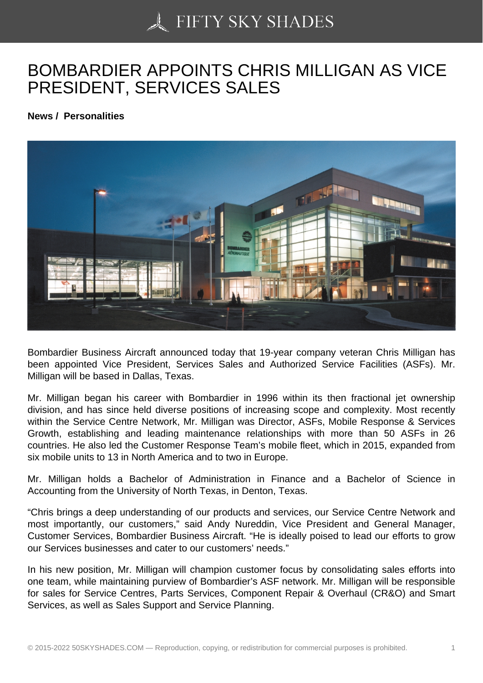## [BOMBARDIER APPOI](https://50skyshades.com)NTS CHRIS MILLIGAN AS VICE PRESIDENT, SERVICES SALES

News / Personalities

Bombardier Business Aircraft announced today that 19-year company veteran Chris Milligan has been appointed Vice President, Services Sales and Authorized Service Facilities (ASFs). Mr. Milligan will be based in Dallas, Texas.

Mr. Milligan began his career with Bombardier in 1996 within its then fractional jet ownership division, and has since held diverse positions of increasing scope and complexity. Most recently within the Service Centre Network, Mr. Milligan was Director, ASFs, Mobile Response & Services Growth, establishing and leading maintenance relationships with more than 50 ASFs in 26 countries. He also led the Customer Response Team's mobile fleet, which in 2015, expanded from six mobile units to 13 in North America and to two in Europe.

Mr. Milligan holds a Bachelor of Administration in Finance and a Bachelor of Science in Accounting from the University of North Texas, in Denton, Texas.

"Chris brings a deep understanding of our products and services, our Service Centre Network and most importantly, our customers," said Andy Nureddin, Vice President and General Manager, Customer Services, Bombardier Business Aircraft. "He is ideally poised to lead our efforts to grow our Services businesses and cater to our customers' needs."

In his new position, Mr. Milligan will champion customer focus by consolidating sales efforts into one team, while maintaining purview of Bombardier's ASF network. Mr. Milligan will be responsible for sales for Service Centres, Parts Services, Component Repair & Overhaul (CR&O) and Smart Services, as well as Sales Support and Service Planning.